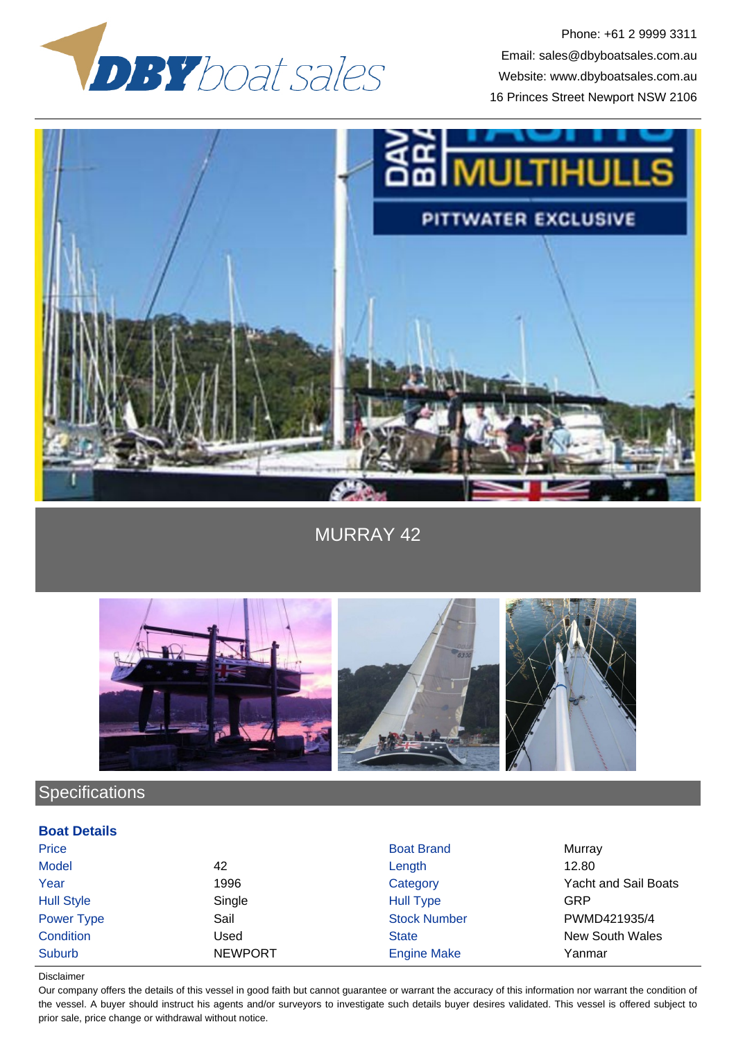

Phone: +61 2 9999 3311 Email: sales@dbyboatsales.com.au Website: www.dbyboatsales.com.au 16 Princes Street Newport NSW 2106



MURRAY 42



# **Specifications**

### **Boat Details**

| Price             |                | <b>Boat Brand</b>   | Murray                      |
|-------------------|----------------|---------------------|-----------------------------|
| <b>Model</b>      | 42             | Length              | 12.80                       |
| Year              | 1996           | Category            | <b>Yacht and Sail Boats</b> |
| <b>Hull Style</b> | Single         | <b>Hull Type</b>    | GRP                         |
| Power Type        | Sail           | <b>Stock Number</b> | PWMD421935/4                |
| Condition         | Used           | <b>State</b>        | New South Wales             |
| Suburb            | <b>NEWPORT</b> | <b>Engine Make</b>  | Yanmar                      |

#### Disclaimer

Our company offers the details of this vessel in good faith but cannot guarantee or warrant the accuracy of this information nor warrant the condition of the vessel. A buyer should instruct his agents and/or surveyors to investigate such details buyer desires validated. This vessel is offered subject to prior sale, price change or withdrawal without notice.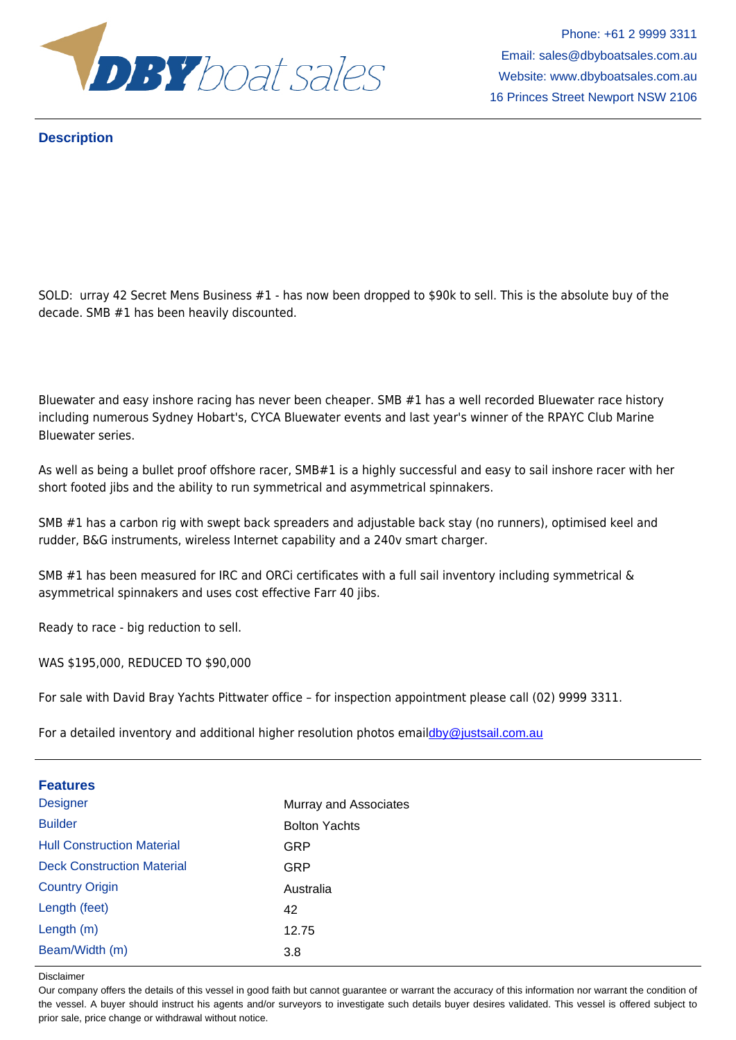

Email: sales@dbyboatsales.com.au

### **Description**

SOLD: urray 42 Secret Mens Business #1 - has now been dropped to \$90k to sell. This is the absolute buy of the decade. SMB #1 has been heavily discounted.

Bluewater and easy inshore racing has never been cheaper. SMB #1 has a well recorded Bluewater race history including numerous Sydney Hobart's, CYCA Bluewater events and last year's winner of the RPAYC Club Marine Bluewater series.

As well as being a bullet proof offshore racer, SMB#1 is a highly successful and easy to sail inshore racer with her short footed jibs and the ability to run symmetrical and asymmetrical spinnakers.

SMB #1 has a carbon rig with swept back spreaders and adjustable back stay (no runners), optimised keel and rudder, B&G instruments, wireless Internet capability and a 240v smart charger.

SMB #1 has been measured for IRC and ORCi certificates with a full sail inventory including symmetrical & asymmetrical spinnakers and uses cost effective Farr 40 jibs.

Ready to race - big reduction to sell.

WAS \$195,000, REDUCED TO \$90,000

For sale with David Bray Yachts Pittwater office – for inspection appointment please call (02) 9999 3311.

For a detailed inventory and additional higher resolution photos emaildby@justsail.com.au

| <b>Features</b>                   |                       |
|-----------------------------------|-----------------------|
| <b>Designer</b>                   | Murray and Associates |
| <b>Builder</b>                    | <b>Bolton Yachts</b>  |
| <b>Hull Construction Material</b> | <b>GRP</b>            |
| <b>Deck Construction Material</b> | <b>GRP</b>            |
| <b>Country Origin</b>             | Australia             |
| Length (feet)                     | 42                    |
| Length (m)                        | 12.75                 |
| Beam/Width (m)                    | 3.8                   |
|                                   |                       |

Disclaimer

Our company offers the details of this vessel in good faith but cannot guarantee or warrant the accuracy of this information nor warrant the condition of the vessel. A buyer should instruct his agents and/or surveyors to investigate such details buyer desires validated. This vessel is offered subject to prior sale, price change or withdrawal without notice.